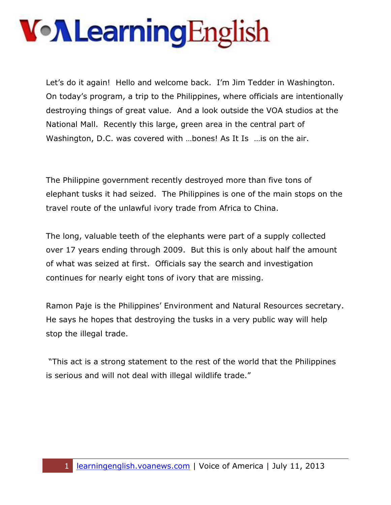Let's do it again! Hello and welcome back. I'm Jim Tedder in Washington. On today's program, a trip to the Philippines, where officials are intentionally destroying things of great value. And a look outside the VOA studios at the National Mall. Recently this large, green area in the central part of Washington, D.C. was covered with ...bones! As It Is ... is on the air.

The Philippine government recently destroyed more than five tons of elephant tusks it had seized. The Philippines is one of the main stops on the travel route of the unlawful ivory trade from Africa to China.

The long, valuable teeth of the elephants were part of a supply collected over 17 years ending through 2009. But this is only about half the amount of what was seized at first. Officials say the search and investigation continues for nearly eight tons of ivory that are missing.

Ramon Paje is the Philippines' Environment and Natural Resources secretary. He says he hopes that destroying the tusks in a very public way will help stop the illegal trade.

"This act is a strong statement to the rest of the world that the Philippines is serious and will not deal with illegal wildlife trade."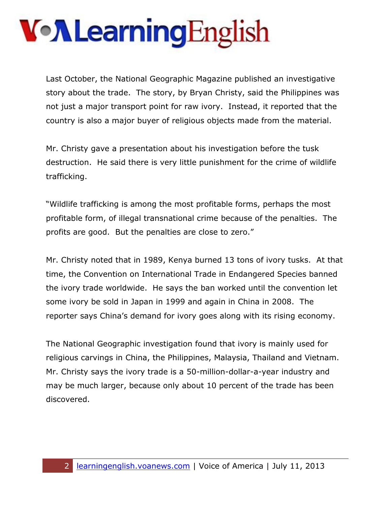Last October, the National Geographic Magazine published an investigative story about the trade. The story, by Bryan Christy, said the Philippines was not just a major transport point for raw ivory. Instead, it reported that the country is also a major buyer of religious objects made from the material.

Mr. Christy gave a presentation about his investigation before the tusk destruction. He said there is very little punishment for the crime of wildlife trafficking.

"Wildlife trafficking is among the most profitable forms, perhaps the most profitable form, of illegal transnational crime because of the penalties. The profits are good. But the penalties are close to zero."

Mr. Christy noted that in 1989, Kenya burned 13 tons of ivory tusks. At that time, the Convention on International Trade in Endangered Species banned the ivory trade worldwide. He says the ban worked until the convention let some ivory be sold in Japan in 1999 and again in China in 2008. The reporter says China's demand for ivory goes along with its rising economy.

The National Geographic investigation found that ivory is mainly used for religious carvings in China, the Philippines, Malaysia, Thailand and Vietnam. Mr. Christy says the ivory trade is a 50-million-dollar-a-year industry and may be much larger, because only about 10 percent of the trade has been discovered.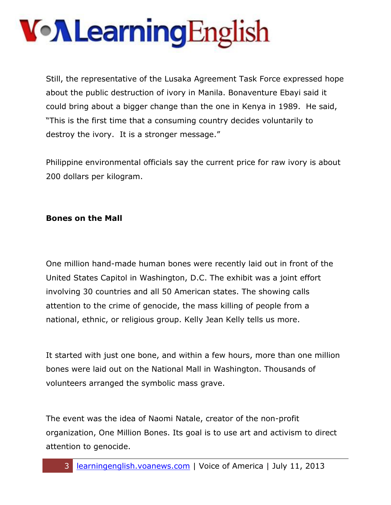Still, the representative of the Lusaka Agreement Task Force expressed hope about the public destruction of ivory in Manila. Bonaventure Ebayi said it could bring about a bigger change than the one in Kenya in 1989. He said, "This is the first time that a consuming country decides voluntarily to destroy the ivory. It is a stronger message."

Philippine environmental officials say the current price for raw ivory is about 200 dollars per kilogram.

#### **Bones on the Mall**

One million hand-made human bones were recently laid out in front of the United States Capitol in Washington, D.C. The exhibit was a joint effort involving 30 countries and all 50 American states. The showing calls attention to the crime of genocide, the mass killing of people from a national, ethnic, or religious group. Kelly Jean Kelly tells us more.

It started with just one bone, and within a few hours, more than one million bones were laid out on the National Mall in Washington. Thousands of volunteers arranged the symbolic mass grave.

The event was the idea of Naomi Natale, creator of the non-profit organization, One Million Bones. Its goal is to use art and activism to direct attention to genocide.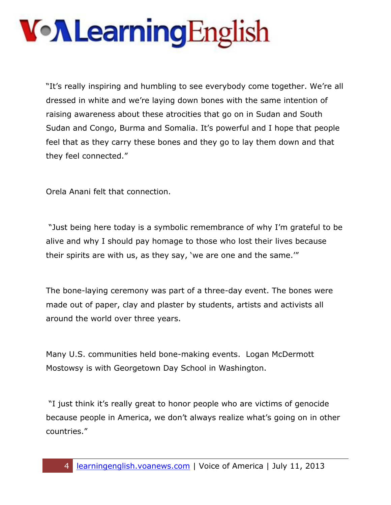"It's really inspiring and humbling to see everybody come together. We're all dressed in white and we're laying down bones with the same intention of raising awareness about these atrocities that go on in Sudan and South Sudan and Congo, Burma and Somalia. It's powerful and I hope that people feel that as they carry these bones and they go to lay them down and that they feel connected."

Orela Anani felt that connection.

"Just being here today is a symbolic remembrance of why I'm grateful to be alive and why I should pay homage to those who lost their lives because their spirits are with us, as they say, 'we are one and the same.'"

The bone-laying ceremony was part of a three-day event. The bones were made out of paper, clay and plaster by students, artists and activists all around the world over three years.

Many U.S. communities held bone-making events. Logan McDermott Mostowsy is with Georgetown Day School in Washington.

"I just think it's really great to honor people who are victims of genocide because people in America, we don't always realize what's going on in other countries."